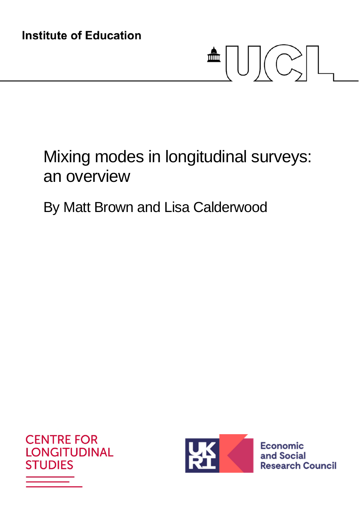# $\triangleq \bigcup \bigcup \biggl( \bigodot \biggr) \bigcup$

# Mixing modes in longitudinal surveys: an overview

## By Matt Brown and Lisa Calderwood





Economic and Social **Research Council**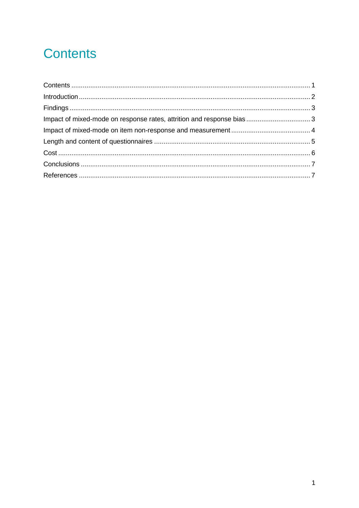## **Contents**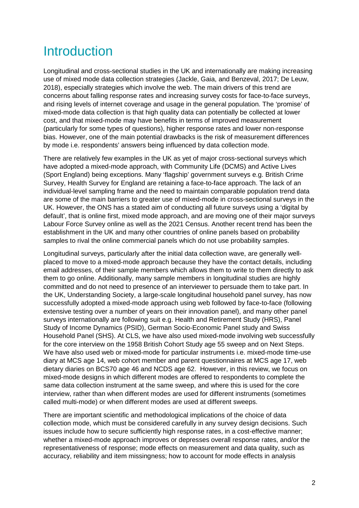## **Introduction**

Longitudinal and cross-sectional studies in the UK and internationally are making increasing use of mixed mode data collection strategies (Jackle, Gaia, and Benzeval, 2017; De Leuw, 2018), especially strategies which involve the web. The main drivers of this trend are concerns about falling response rates and increasing survey costs for face-to-face surveys, and rising levels of internet coverage and usage in the general population. The 'promise' of mixed-mode data collection is that high quality data can potentially be collected at lower cost, and that mixed-mode may have benefits in terms of improved measurement (particularly for some types of questions), higher response rates and lower non-response bias. However, one of the main potential drawbacks is the risk of measurement differences by mode i.e. respondents' answers being influenced by data collection mode.

There are relatively few examples in the UK as yet of major cross-sectional surveys which have adopted a mixed-mode approach, with Community Life (DCMS) and Active Lives (Sport England) being exceptions. Many 'flagship' government surveys e.g. British Crime Survey, Health Survey for England are retaining a face-to-face approach. The lack of an individual-level sampling frame and the need to maintain comparable population trend data are some of the main barriers to greater use of mixed-mode in cross-sectional surveys in the UK. However, the ONS has a stated aim of conducting all future surveys using a 'digital by default', that is online first, mixed mode approach, and are moving one of their major surveys Labour Force Survey online as well as the 2021 Census. Another recent trend has been the establishment in the UK and many other countries of online panels based on probability samples to rival the online commercial panels which do not use probability samples.

Longitudinal surveys, particularly after the initial data collection wave, are generally wellplaced to move to a mixed-mode approach because they have the contact details, including email addresses, of their sample members which allows them to write to them directly to ask them to go online. Additionally, many sample members in longitudinal studies are highly committed and do not need to presence of an interviewer to persuade them to take part. In the UK, Understanding Society, a large-scale longitudinal household panel survey, has now successfully adopted a mixed-mode approach using web followed by face-to-face (following extensive testing over a number of years on their innovation panel), and many other panel surveys internationally are following suit e.g. Health and Retirement Study (HRS), Panel Study of Income Dynamics (PSID), German Socio-Economic Panel study and Swiss Household Panel (SHS). At CLS, we have also used mixed-mode involving web successfully for the core interview on the 1958 British Cohort Study age 55 sweep and on Next Steps. We have also used web or mixed-mode for particular instruments i.e. mixed-mode time-use diary at MCS age 14, web cohort member and parent questionnaires at MCS age 17, web dietary diaries on BCS70 age 46 and NCDS age 62. However, in this review, we focus on mixed-mode designs in which different modes are offered to respondents to complete the same data collection instrument at the same sweep, and where this is used for the core interview, rather than when different modes are used for different instruments (sometimes called multi-mode) or when different modes are used at different sweeps.

There are important scientific and methodological implications of the choice of data collection mode, which must be considered carefully in any survey design decisions. Such issues include how to secure sufficiently high response rates, in a cost-effective manner; whether a mixed-mode approach improves or depresses overall response rates, and/or the representativeness of response; mode effects on measurement and data quality, such as accuracy, reliability and item missingness; how to account for mode effects in analysis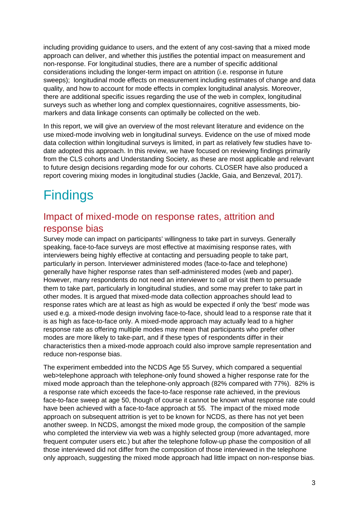including providing guidance to users, and the extent of any cost-saving that a mixed mode approach can deliver, and whether this justifies the potential impact on measurement and non-response. For longitudinal studies, there are a number of specific additional considerations including the longer-term impact on attrition (i.e. response in future sweeps); longitudinal mode effects on measurement including estimates of change and data quality, and how to account for mode effects in complex longitudinal analysis. Moreover, there are additional specific issues regarding the use of the web in complex, longitudinal surveys such as whether long and complex questionnaires, cognitive assessments, biomarkers and data linkage consents can optimally be collected on the web.

In this report, we will give an overview of the most relevant literature and evidence on the use mixed-mode involving web in longitudinal surveys. Evidence on the use of mixed mode data collection within longitudinal surveys is limited, in part as relatively few studies have todate adopted this approach. In this review, we have focused on reviewing findings primarily from the CLS cohorts and Understanding Society, as these are most applicable and relevant to future design decisions regarding mode for our cohorts. CLOSER have also produced a report covering mixing modes in longitudinal studies (Jackle, Gaia, and Benzeval, 2017).

## **Findings**

#### Impact of mixed-mode on response rates, attrition and response bias

Survey mode can impact on participants' willingness to take part in surveys. Generally speaking, face-to-face surveys are most effective at maximising response rates, with interviewers being highly effective at contacting and persuading people to take part, particularly in person. Interviewer administered modes (face-to-face and telephone) generally have higher response rates than self-administered modes (web and paper). However, many respondents do not need an interviewer to call or visit them to persuade them to take part, particularly in longitudinal studies, and some may prefer to take part in other modes. It is argued that mixed-mode data collection approaches should lead to response rates which are at least as high as would be expected if only the 'best' mode was used e.g. a mixed-mode design involving face-to-face, should lead to a response rate that it is as high as face-to-face only. A mixed-mode approach may actually lead to a higher response rate as offering multiple modes may mean that participants who prefer other modes are more likely to take-part, and if these types of respondents differ in their characteristics then a mixed-mode approach could also improve sample representation and reduce non-response bias.

The experiment embedded into the NCDS Age 55 Survey, which compared a sequential web>telephone approach with telephone-only found showed a higher response rate for the mixed mode approach than the telephone-only approach (82% compared with 77%). 82% is a response rate which exceeds the face-to-face response rate achieved, in the previous face-to-face sweep at age 50, though of course it cannot be known what response rate could have been achieved with a face-to-face approach at 55. The impact of the mixed mode approach on subsequent attrition is yet to be known for NCDS, as there has not yet been another sweep. In NCDS, amongst the mixed mode group, the composition of the sample who completed the interview via web was a highly selected group (more advantaged, more frequent computer users etc.) but after the telephone follow-up phase the composition of all those interviewed did not differ from the composition of those interviewed in the telephone only approach, suggesting the mixed mode approach had little impact on non-response bias.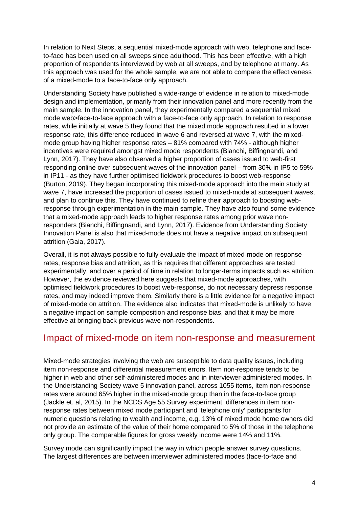In relation to Next Steps, a sequential mixed-mode approach with web, telephone and faceto-face has been used on all sweeps since adulthood. This has been effective, with a high proportion of respondents interviewed by web at all sweeps, and by telephone at many. As this approach was used for the whole sample, we are not able to compare the effectiveness of a mixed-mode to a face-to-face only approach.

Understanding Society have published a wide-range of evidence in relation to mixed-mode design and implementation, primarily from their innovation panel and more recently from the main sample. In the innovation panel, they experimentally compared a sequential mixed mode web>face-to-face approach with a face-to-face only approach. In relation to response rates, while initially at wave 5 they found that the mixed mode approach resulted in a lower response rate, this difference reduced in wave 6 and reversed at wave 7, with the mixedmode group having higher response rates – 81% compared with 74% - although higher incentives were required amongst mixed mode respondents (Bianchi, Biffingnandi, and Lynn, 2017). They have also observed a higher proportion of cases issued to web-first responding online over subsequent waves of the innovation panel – from 30% in IP5 to 59% in IP11 - as they have further optimised fieldwork procedures to boost web-response (Burton, 2019). They began incorporating this mixed-mode approach into the main study at wave 7, have increased the proportion of cases issued to mixed-mode at subsequent waves, and plan to continue this. They have continued to refine their approach to boosting webresponse through experimentation in the main sample. They have also found some evidence that a mixed-mode approach leads to higher response rates among prior wave nonresponders (Bianchi, Biffingnandi, and Lynn, 2017). Evidence from Understanding Society Innovation Panel is also that mixed-mode does not have a negative impact on subsequent attrition (Gaia, 2017).

Overall, it is not always possible to fully evaluate the impact of mixed-mode on response rates, response bias and attrition, as this requires that different approaches are tested experimentally, and over a period of time in relation to longer-terms impacts such as attrition. However, the evidence reviewed here suggests that mixed-mode approaches, with optimised fieldwork procedures to boost web-response, do not necessary depress response rates, and may indeed improve them. Similarly there is a little evidence for a negative impact of mixed-mode on attrition. The evidence also indicates that mixed-mode is unlikely to have a negative impact on sample composition and response bias, and that it may be more effective at bringing back previous wave non-respondents.

#### Impact of mixed-mode on item non-response and measurement

Mixed-mode strategies involving the web are susceptible to data quality issues, including item non-response and differential measurement errors. Item non-response tends to be higher in web and other self-administered modes and in interviewer-administered modes. In the Understanding Society wave 5 innovation panel, across 1055 items, item non-response rates were around 65% higher in the mixed-mode group than in the face-to-face group (Jackle et. al, 2015). In the NCDS Age 55 Survey experiment, differences in item nonresponse rates between mixed mode participant and 'telephone only' participants for numeric questions relating to wealth and income, e.g. 13% of mixed mode home owners did not provide an estimate of the value of their home compared to 5% of those in the telephone only group. The comparable figures for gross weekly income were 14% and 11%.

Survey mode can significantly impact the way in which people answer survey questions. The largest differences are between interviewer administered modes (face-to-face and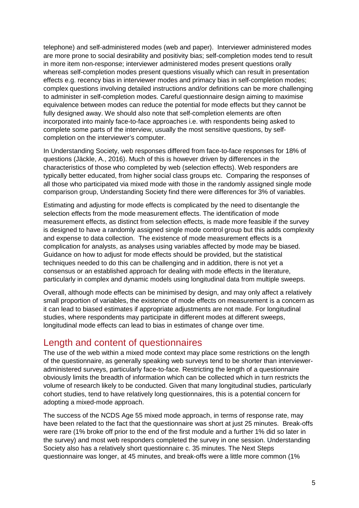telephone) and self-administered modes (web and paper). Interviewer administered modes are more prone to social desirability and positivity bias; self-completion modes tend to result in more item non-response; interviewer administered modes present questions orally whereas self-completion modes present questions visually which can result in presentation effects e.g. recency bias in interviewer modes and primacy bias in self-completion modes; complex questions involving detailed instructions and/or definitions can be more challenging to administer in self-completion modes. Careful questionnaire design aiming to maximise equivalence between modes can reduce the potential for mode effects but they cannot be fully designed away. We should also note that self-completion elements are often incorporated into mainly face-to-face approaches i.e. with respondents being asked to complete some parts of the interview, usually the most sensitive questions, by selfcompletion on the interviewer's computer.

In Understanding Society, web responses differed from face-to-face responses for 18% of questions (Jäckle, A., 2016). Much of this is however driven by differences in the characteristics of those who completed by web (selection effects). Web responders are typically better educated, from higher social class groups etc. Comparing the responses of all those who participated via mixed mode with those in the randomly assigned single mode comparison group, Understanding Society find there were differences for 3% of variables.

Estimating and adjusting for mode effects is complicated by the need to disentangle the selection effects from the mode measurement effects. The identification of mode measurement effects, as distinct from selection effects, is made more feasible if the survey is designed to have a randomly assigned single mode control group but this adds complexity and expense to data collection. The existence of mode measurement effects is a complication for analysts, as analyses using variables affected by mode may be biased. Guidance on how to adjust for mode effects should be provided, but the statistical techniques needed to do this can be challenging and in addition, there is not yet a consensus or an established approach for dealing with mode effects in the literature, particularly in complex and dynamic models using longitudinal data from multiple sweeps.

Overall, although mode effects can be minimised by design, and may only affect a relatively small proportion of variables, the existence of mode effects on measurement is a concern as it can lead to biased estimates if appropriate adjustments are not made. For longitudinal studies, where respondents may participate in different modes at different sweeps, longitudinal mode effects can lead to bias in estimates of change over time.

#### Length and content of questionnaires

The use of the web within a mixed mode context may place some restrictions on the length of the questionnaire, as generally speaking web surveys tend to be shorter than intervieweradministered surveys, particularly face-to-face. Restricting the length of a questionnaire obviously limits the breadth of information which can be collected which in turn restricts the volume of research likely to be conducted. Given that many longitudinal studies, particularly cohort studies, tend to have relatively long questionnaires, this is a potential concern for adopting a mixed-mode approach.

The success of the NCDS Age 55 mixed mode approach, in terms of response rate, may have been related to the fact that the questionnaire was short at just 25 minutes. Break-offs were rare (1% broke off prior to the end of the first module and a further 1% did so later in the survey) and most web responders completed the survey in one session. Understanding Society also has a relatively short questionnaire c. 35 minutes. The Next Steps questionnaire was longer, at 45 minutes, and break-offs were a little more common (1%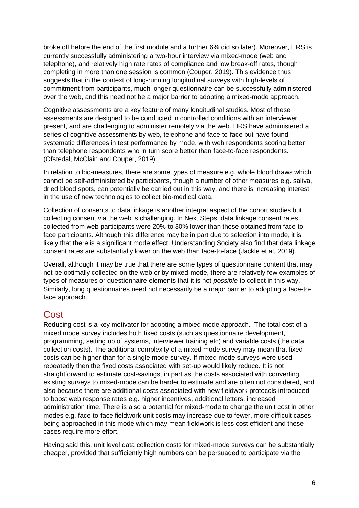broke off before the end of the first module and a further 6% did so later). Moreover, HRS is currently successfully administering a two-hour interview via mixed-mode (web and telephone), and relatively high rate rates of compliance and low break-off rates, though completing in more than one session is common (Couper, 2019). This evidence thus suggests that in the context of long-running longitudinal surveys with high-levels of commitment from participants, much longer questionnaire can be successfully administered over the web, and this need not be a major barrier to adopting a mixed-mode approach.

Cognitive assessments are a key feature of many longitudinal studies. Most of these assessments are designed to be conducted in controlled conditions with an interviewer present, and are challenging to administer remotely via the web. HRS have administered a series of cognitive assessments by web, telephone and face-to-face but have found systematic differences in test performance by mode, with web respondents scoring better than telephone respondents who in turn score better than face-to-face respondents. (Ofstedal, McClain and Couper, 2019).

In relation to bio-measures, there are some types of measure e.g. whole blood draws which cannot be self-administered by participants, though a number of other measures e.g. saliva, dried blood spots, can potentially be carried out in this way, and there is increasing interest in the use of new technologies to collect bio-medical data.

Collection of consents to data linkage is another integral aspect of the cohort studies but collecting consent via the web is challenging. In Next Steps, data linkage consent rates collected from web participants were 20% to 30% lower than those obtained from face-toface participants. Although this difference may be in part due to selection into mode, it is likely that there is a significant mode effect. Understanding Society also find that data linkage consent rates are substantially lower on the web than face-to-face (Jackle et al, 2019).

Overall, although it may be true that there are some types of questionnaire content that may not be optimally collected on the web or by mixed-mode, there are relatively few examples of types of measures or questionnaire elements that it is not *possible* to collect in this way. Similarly, long questionnaires need not necessarily be a major barrier to adopting a face-toface approach.

#### **Cost**

Reducing cost is a key motivator for adopting a mixed mode approach. The total cost of a mixed mode survey includes both fixed costs (such as questionnaire development, programming, setting up of systems, interviewer training etc) and variable costs (the data collection costs). The additional complexity of a mixed mode survey may mean that fixed costs can be higher than for a single mode survey. If mixed mode surveys were used repeatedly then the fixed costs associated with set-up would likely reduce. It is not straightforward to estimate cost-savings, in part as the costs associated with converting existing surveys to mixed-mode can be harder to estimate and are often not considered, and also because there are additional costs associated with new fieldwork protocols introduced to boost web response rates e.g. higher incentives, additional letters, increased administration time. There is also a potential for mixed-mode to change the unit cost in other modes e.g. face-to-face fieldwork unit costs may increase due to fewer, more difficult cases being approached in this mode which may mean fieldwork is less cost efficient and these cases require more effort.

Having said this, unit level data collection costs for mixed-mode surveys can be substantially cheaper, provided that sufficiently high numbers can be persuaded to participate via the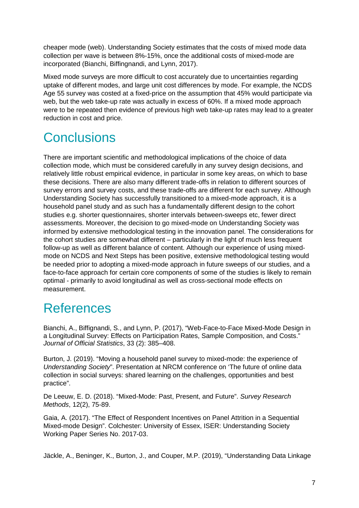cheaper mode (web). Understanding Society estimates that the costs of mixed mode data collection per wave is between 8%-15%, once the additional costs of mixed-mode are incorporated (Bianchi, Biffingnandi, and Lynn, 2017).

Mixed mode surveys are more difficult to cost accurately due to uncertainties regarding uptake of different modes, and large unit cost differences by mode. For example, the NCDS Age 55 survey was costed at a fixed-price on the assumption that 45% would participate via web, but the web take-up rate was actually in excess of 60%. If a mixed mode approach were to be repeated then evidence of previous high web take-up rates may lead to a greater reduction in cost and price.

## **Conclusions**

There are important scientific and methodological implications of the choice of data collection mode, which must be considered carefully in any survey design decisions, and relatively little robust empirical evidence, in particular in some key areas, on which to base these decisions. There are also many different trade-offs in relation to different sources of survey errors and survey costs, and these trade-offs are different for each survey. Although Understanding Society has successfully transitioned to a mixed-mode approach, it is a household panel study and as such has a fundamentally different design to the cohort studies e.g. shorter questionnaires, shorter intervals between-sweeps etc, fewer direct assessments. Moreover, the decision to go mixed-mode on Understanding Society was informed by extensive methodological testing in the innovation panel. The considerations for the cohort studies are somewhat different – particularly in the light of much less frequent follow-up as well as different balance of content. Although our experience of using mixedmode on NCDS and Next Steps has been positive, extensive methodological testing would be needed prior to adopting a mixed-mode approach in future sweeps of our studies, and a face-to-face approach for certain core components of some of the studies is likely to remain optimal - primarily to avoid longitudinal as well as cross-sectional mode effects on measurement.

## **References**

Bianchi, A., Biffignandi, S., and Lynn, P. (2017), "Web-Face-to-Face Mixed-Mode Design in a Longitudinal Survey: Effects on Participation Rates, Sample Composition, and Costs." *Journal of Official Statistics*, 33 (2): 385–408.

Burton, J. (2019). "Moving a household panel survey to mixed-mode: the experience of *Understanding Society*". Presentation at NRCM conference on 'The future of online data collection in social surveys: shared learning on the challenges, opportunities and best practice".

De Leeuw, E. D. (2018). "Mixed-Mode: Past, Present, and Future". *Survey Research Methods*, 12(2), 75-89.

Gaia, A. (2017). "The Effect of Respondent Incentives on Panel Attrition in a Sequential Mixed-mode Design". Colchester: University of Essex, ISER: Understanding Society Working Paper Series No. 2017-03.

Jäckle, A., Beninger, K., Burton, J., and Couper, M.P. (2019), "Understanding Data Linkage